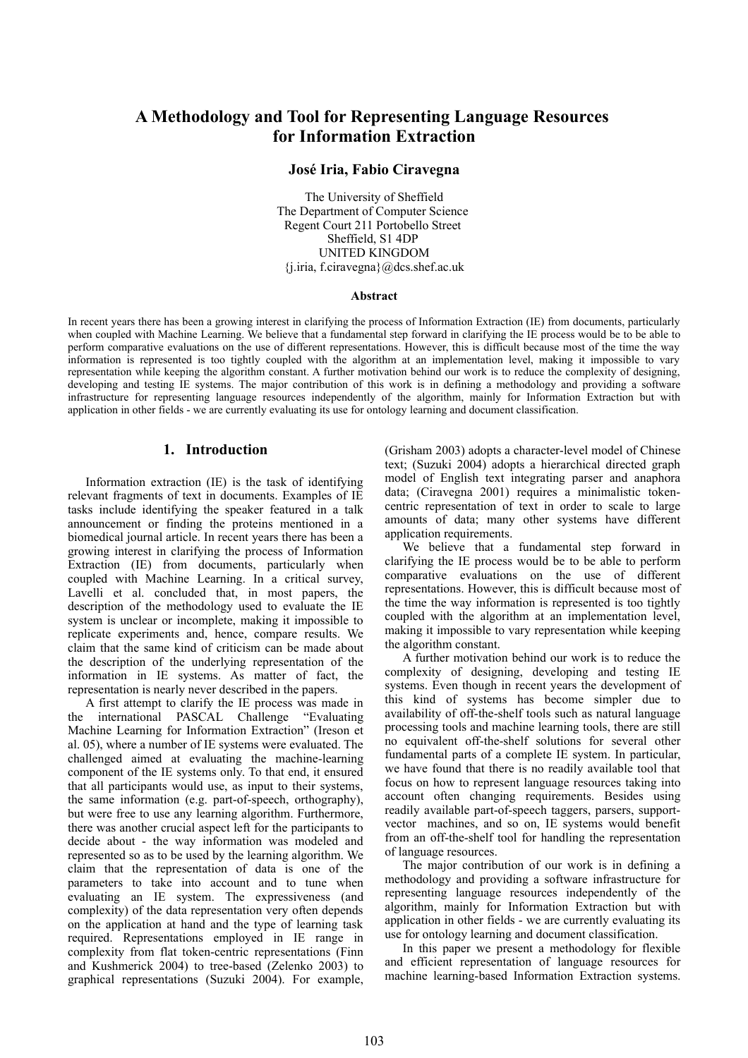# **A Methodology and Tool for Representing Language Resources for Information Extraction**

## **José Iria, Fabio Ciravegna**

The University of Sheffield The Department of Computer Science Regent Court 211 Portobello Street Sheffield, S1 4DP UNITED KINGDOM {j.iria, f.ciravegna}@dcs.shef.ac.uk

#### **Abstract**

In recent years there has been a growing interest in clarifying the process of Information Extraction (IE) from documents, particularly when coupled with Machine Learning. We believe that a fundamental step forward in clarifying the IE process would be to be able to perform comparative evaluations on the use of different representations. However, this is difficult because most of the time the way information is represented is too tightly coupled with the algorithm at an implementation level, making it impossible to vary representation while keeping the algorithm constant. A further motivation behind our work is to reduce the complexity of designing, developing and testing IE systems. The major contribution of this work is in defining a methodology and providing a software infrastructure for representing language resources independently of the algorithm, mainly for Information Extraction but with application in other fields - we are currently evaluating its use for ontology learning and document classification.

### **1. Introduction**

Information extraction (IE) is the task of identifying relevant fragments of text in documents. Examples of IE tasks include identifying the speaker featured in a talk announcement or finding the proteins mentioned in a biomedical journal article. In recent years there has been a growing interest in clarifying the process of Information Extraction (IE) from documents, particularly when coupled with Machine Learning. In a critical survey, Lavelli et al. concluded that, in most papers, the description of the methodology used to evaluate the IE system is unclear or incomplete, making it impossible to replicate experiments and, hence, compare results. We claim that the same kind of criticism can be made about the description of the underlying representation of the information in IE systems. As matter of fact, the representation is nearly never described in the papers.

A first attempt to clarify the IE process was made in the international PASCAL Challenge "Evaluating Machine Learning for Information Extraction" (Ireson et al. 05), where a number of IE systems were evaluated. The challenged aimed at evaluating the machine-learning component of the IE systems only. To that end, it ensured that all participants would use, as input to their systems, the same information (e.g. part-of-speech, orthography), but were free to use any learning algorithm. Furthermore, there was another crucial aspect left for the participants to decide about - the way information was modeled and represented so as to be used by the learning algorithm. We claim that the representation of data is one of the parameters to take into account and to tune when evaluating an IE system. The expressiveness (and complexity) of the data representation very often depends on the application at hand and the type of learning task required. Representations employed in IE range in complexity from flat token-centric representations (Finn and Kushmerick 2004) to tree-based (Zelenko 2003) to graphical representations (Suzuki 2004). For example,

(Grisham 2003) adopts a character-level model of Chinese text; (Suzuki 2004) adopts a hierarchical directed graph model of English text integrating parser and anaphora data; (Ciravegna 2001) requires a minimalistic tokencentric representation of text in order to scale to large amounts of data; many other systems have different application requirements.

We believe that a fundamental step forward in clarifying the IE process would be to be able to perform comparative evaluations on the use of different representations. However, this is difficult because most of the time the way information is represented is too tightly coupled with the algorithm at an implementation level, making it impossible to vary representation while keeping the algorithm constant.

A further motivation behind our work is to reduce the complexity of designing, developing and testing IE systems. Even though in recent years the development of this kind of systems has become simpler due to availability of off-the-shelf tools such as natural language processing tools and machine learning tools, there are still no equivalent off-the-shelf solutions for several other fundamental parts of a complete IE system. In particular, we have found that there is no readily available tool that focus on how to represent language resources taking into account often changing requirements. Besides using readily available part-of-speech taggers, parsers, supportvector machines, and so on, IE systems would benefit from an off-the-shelf tool for handling the representation of language resources.

The major contribution of our work is in defining a methodology and providing a software infrastructure for representing language resources independently of the algorithm, mainly for Information Extraction but with application in other fields - we are currently evaluating its use for ontology learning and document classification.

In this paper we present a methodology for flexible and efficient representation of language resources for machine learning-based Information Extraction systems.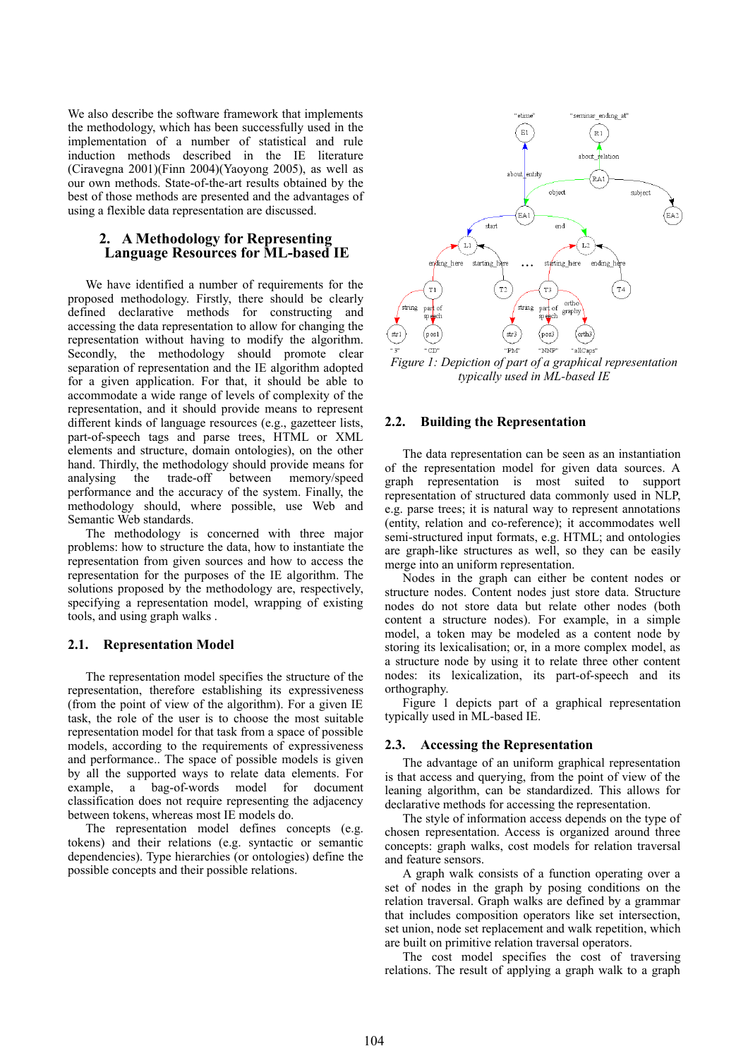We also describe the software framework that implements the methodology, which has been successfully used in the implementation of a number of statistical and rule induction methods described in the IE literature (Ciravegna 2001)(Finn 2004)(Yaoyong 2005), as well as our own methods. State-of-the-art results obtained by the best of those methods are presented and the advantages of using a flexible data representation are discussed.

## **2. A Methodology for Representing Language Resources for ML-based IE**

We have identified a number of requirements for the proposed methodology. Firstly, there should be clearly defined declarative methods for constructing and accessing the data representation to allow for changing the representation without having to modify the algorithm. Secondly, the methodology should promote clear separation of representation and the IE algorithm adopted for a given application. For that, it should be able to accommodate a wide range of levels of complexity of the representation, and it should provide means to represent different kinds of language resources (e.g., gazetteer lists, part-of-speech tags and parse trees, HTML or XML elements and structure, domain ontologies), on the other hand. Thirdly, the methodology should provide means for analysing the trade-off between memory/speed performance and the accuracy of the system. Finally, the methodology should, where possible, use Web and Semantic Web standards.

The methodology is concerned with three major problems: how to structure the data, how to instantiate the representation from given sources and how to access the representation for the purposes of the IE algorithm. The solutions proposed by the methodology are, respectively, specifying a representation model, wrapping of existing tools, and using graph walks .

### **2.1. Representation Model**

The representation model specifies the structure of the representation, therefore establishing its expressiveness (from the point of view of the algorithm). For a given IE task, the role of the user is to choose the most suitable representation model for that task from a space of possible models, according to the requirements of expressiveness and performance.. The space of possible models is given by all the supported ways to relate data elements. For example, a bag-of-words model for document classification does not require representing the adjacency between tokens, whereas most IE models do.

The representation model defines concepts (e.g. tokens) and their relations (e.g. syntactic or semantic dependencies). Type hierarchies (or ontologies) define the possible concepts and their possible relations.



*Figure 1: Depiction of part of a graphical representation typically used in ML-based IE*

#### **2.2. Building the Representation**

The data representation can be seen as an instantiation of the representation model for given data sources. A graph representation is most suited to support representation of structured data commonly used in NLP, e.g. parse trees; it is natural way to represent annotations (entity, relation and co-reference); it accommodates well semi-structured input formats, e.g. HTML; and ontologies are graph-like structures as well, so they can be easily merge into an uniform representation.

Nodes in the graph can either be content nodes or structure nodes. Content nodes just store data. Structure nodes do not store data but relate other nodes (both content a structure nodes). For example, in a simple model, a token may be modeled as a content node by storing its lexicalisation; or, in a more complex model, as a structure node by using it to relate three other content nodes: its lexicalization, its part-of-speech and its orthography.

Figure 1 depicts part of a graphical representation typically used in ML-based IE.

#### **2.3. Accessing the Representation**

The advantage of an uniform graphical representation is that access and querying, from the point of view of the leaning algorithm, can be standardized. This allows for declarative methods for accessing the representation.

The style of information access depends on the type of chosen representation. Access is organized around three concepts: graph walks, cost models for relation traversal and feature sensors.

A graph walk consists of a function operating over a set of nodes in the graph by posing conditions on the relation traversal. Graph walks are defined by a grammar that includes composition operators like set intersection, set union, node set replacement and walk repetition, which are built on primitive relation traversal operators.

The cost model specifies the cost of traversing relations. The result of applying a graph walk to a graph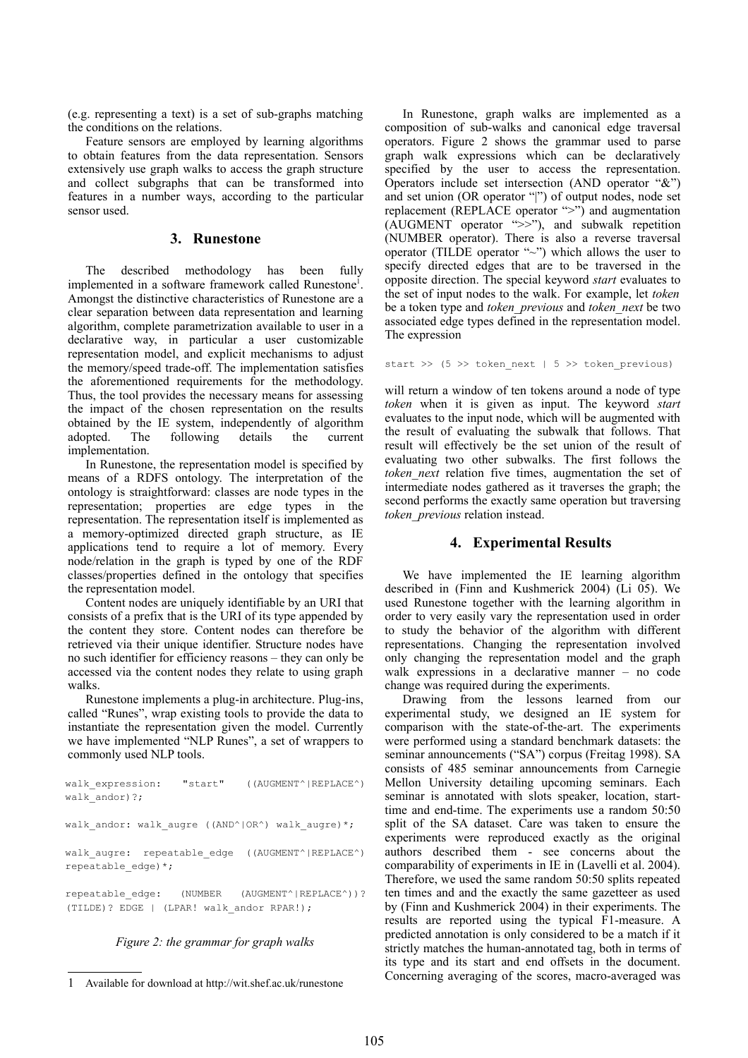(e.g. representing a text) is a set of sub-graphs matching the conditions on the relations.

Feature sensors are employed by learning algorithms to obtain features from the data representation. Sensors extensively use graph walks to access the graph structure and collect subgraphs that can be transformed into features in a number ways, according to the particular sensor used.

## **3. Runestone**

The described methodology has been fully implemented in a software framework called Runestone<sup>[1](#page-2-0)</sup>. Amongst the distinctive characteristics of Runestone are a clear separation between data representation and learning algorithm, complete parametrization available to user in a declarative way, in particular a user customizable representation model, and explicit mechanisms to adjust the memory/speed trade-off. The implementation satisfies the aforementioned requirements for the methodology. Thus, the tool provides the necessary means for assessing the impact of the chosen representation on the results obtained by the IE system, independently of algorithm adopted. The following details the current implementation.

In Runestone, the representation model is specified by means of a RDFS ontology. The interpretation of the ontology is straightforward: classes are node types in the representation; properties are edge types in the representation. The representation itself is implemented as a memory-optimized directed graph structure, as IE applications tend to require a lot of memory. Every node/relation in the graph is typed by one of the RDF classes/properties defined in the ontology that specifies the representation model.

Content nodes are uniquely identifiable by an URI that consists of a prefix that is the URI of its type appended by the content they store. Content nodes can therefore be retrieved via their unique identifier. Structure nodes have no such identifier for efficiency reasons – they can only be accessed via the content nodes they relate to using graph walks.

Runestone implements a plug-in architecture. Plug-ins, called "Runes", wrap existing tools to provide the data to instantiate the representation given the model. Currently we have implemented "NLP Runes", a set of wrappers to commonly used NLP tools.

walk expression: "start" ((AUGMENT^|REPLACE^) walk andor)?; walk andor: walk augre ((AND^|OR^) walk augre)\*; walk augre: repeatable edge ((AUGMENT^|REPLACE^) repeatable\_edge)\*; repeatable\_edge: (NUMBER (AUGMENT^|REPLACE^))? (TILDE)? EDGE | (LPAR! walk\_andor RPAR!);

## *Figure 2: the grammar for graph walks*

In Runestone, graph walks are implemented as a composition of sub-walks and canonical edge traversal operators. Figure 2 shows the grammar used to parse graph walk expressions which can be declaratively specified by the user to access the representation. Operators include set intersection (AND operator "&") and set union (OR operator "|") of output nodes, node set replacement (REPLACE operator ">") and augmentation (AUGMENT operator ">>"), and subwalk repetition (NUMBER operator). There is also a reverse traversal operator (TILDE operator "~") which allows the user to specify directed edges that are to be traversed in the opposite direction. The special keyword *start* evaluates to the set of input nodes to the walk. For example, let *token* be a token type and *token\_previous* and *token\_next* be two associated edge types defined in the representation model. The expression

start >>  $(5 \gg$  token next | 5 >> token previous)

will return a window of ten tokens around a node of type *token* when it is given as input. The keyword *start* evaluates to the input node, which will be augmented with the result of evaluating the subwalk that follows. That result will effectively be the set union of the result of evaluating two other subwalks. The first follows the *token\_next* relation five times, augmentation the set of intermediate nodes gathered as it traverses the graph; the second performs the exactly same operation but traversing *token\_previous* relation instead.

## **4. Experimental Results**

We have implemented the IE learning algorithm described in (Finn and Kushmerick 2004) (Li 05). We used Runestone together with the learning algorithm in order to very easily vary the representation used in order to study the behavior of the algorithm with different representations. Changing the representation involved only changing the representation model and the graph walk expressions in a declarative manner – no code change was required during the experiments.

Drawing from the lessons learned from our experimental study, we designed an IE system for comparison with the state-of-the-art. The experiments were performed using a standard benchmark datasets: the seminar announcements ("SA") corpus (Freitag 1998). SA consists of 485 seminar announcements from Carnegie Mellon University detailing upcoming seminars. Each seminar is annotated with slots speaker, location, starttime and end-time. The experiments use a random 50:50 split of the SA dataset. Care was taken to ensure the experiments were reproduced exactly as the original authors described them - see concerns about the comparability of experiments in IE in (Lavelli et al. 2004). Therefore, we used the same random 50:50 splits repeated ten times and and the exactly the same gazetteer as used by (Finn and Kushmerick 2004) in their experiments. The results are reported using the typical F1-measure. A predicted annotation is only considered to be a match if it strictly matches the human-annotated tag, both in terms of its type and its start and end offsets in the document. Concerning averaging of the scores, macro-averaged was

<span id="page-2-0"></span><sup>1</sup> Available for download at http://wit.shef.ac.uk/runestone